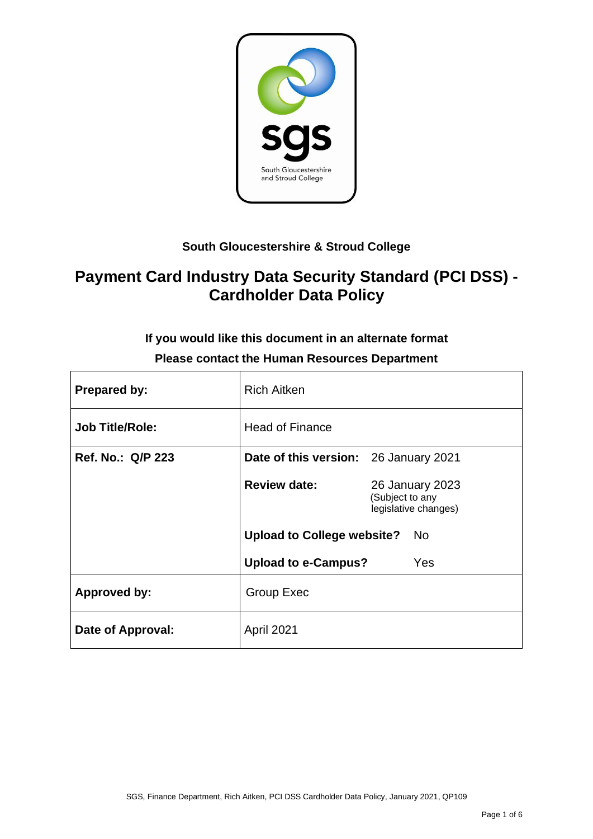

# **South Gloucestershire & Stroud College**

# **Payment Card Industry Data Security Standard (PCI DSS) - Cardholder Data Policy**

# **If you would like this document in an alternate format**

| <b>Prepared by:</b>    | <b>Rich Aitken</b>                    |                                                            |
|------------------------|---------------------------------------|------------------------------------------------------------|
| <b>Job Title/Role:</b> | <b>Head of Finance</b>                |                                                            |
| Ref. No.: Q/P 223      | Date of this version: 26 January 2021 |                                                            |
|                        | <b>Review date:</b>                   | 26 January 2023<br>(Subject to any<br>legislative changes) |
|                        | <b>Upload to College website?</b>     | No.                                                        |
|                        | <b>Upload to e-Campus?</b>            | Yes                                                        |
| <b>Approved by:</b>    | <b>Group Exec</b>                     |                                                            |
| Date of Approval:      | <b>April 2021</b>                     |                                                            |

**Please contact the Human Resources Department**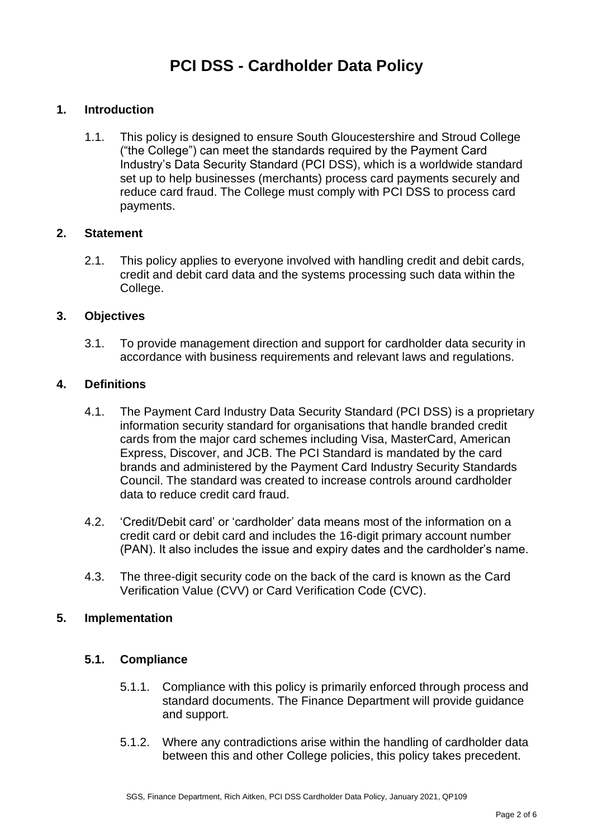# **PCI DSS - Cardholder Data Policy**

### **1. Introduction**

1.1. This policy is designed to ensure South Gloucestershire and Stroud College ("the College") can meet the standards required by the Payment Card Industry's Data Security Standard (PCI DSS), which is a worldwide standard set up to help businesses (merchants) process card payments securely and reduce card fraud. The College must comply with PCI DSS to process card payments.

#### **2. Statement**

2.1. This policy applies to everyone involved with handling credit and debit cards, credit and debit card data and the systems processing such data within the College.

#### **3. Objectives**

3.1. To provide management direction and support for cardholder data security in accordance with business requirements and relevant laws and regulations.

#### **4. Definitions**

- 4.1. The Payment Card Industry Data Security Standard (PCI DSS) is a proprietary information security standard for organisations that handle branded credit cards from the major card schemes including Visa, MasterCard, American Express, Discover, and JCB. The PCI Standard is mandated by the card brands and administered by the Payment Card Industry Security Standards Council. The standard was created to increase controls around cardholder data to reduce credit card fraud.
- 4.2. 'Credit/Debit card' or 'cardholder' data means most of the information on a credit card or debit card and includes the 16-digit primary account number (PAN). It also includes the issue and expiry dates and the cardholder's name.
- 4.3. The three-digit security code on the back of the card is known as the Card Verification Value (CVV) or Card Verification Code (CVC).

#### **5. Implementation**

#### **5.1. Compliance**

- 5.1.1. Compliance with this policy is primarily enforced through process and standard documents. The Finance Department will provide guidance and support.
- 5.1.2. Where any contradictions arise within the handling of cardholder data between this and other College policies, this policy takes precedent.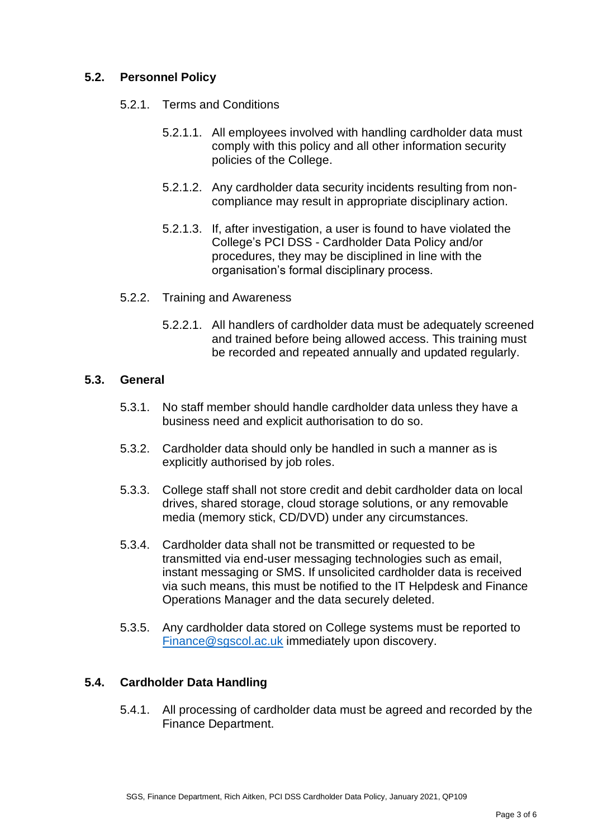# **5.2. Personnel Policy**

- 5.2.1. Terms and Conditions
	- 5.2.1.1. All employees involved with handling cardholder data must comply with this policy and all other information security policies of the College.
	- 5.2.1.2. Any cardholder data security incidents resulting from noncompliance may result in appropriate disciplinary action.
	- 5.2.1.3. If, after investigation, a user is found to have violated the College's PCI DSS - Cardholder Data Policy and/or procedures, they may be disciplined in line with the organisation's formal disciplinary process.
- 5.2.2. Training and Awareness
	- 5.2.2.1. All handlers of cardholder data must be adequately screened and trained before being allowed access. This training must be recorded and repeated annually and updated regularly.

#### **5.3. General**

- 5.3.1. No staff member should handle cardholder data unless they have a business need and explicit authorisation to do so.
- 5.3.2. Cardholder data should only be handled in such a manner as is explicitly authorised by job roles.
- 5.3.3. College staff shall not store credit and debit cardholder data on local drives, shared storage, cloud storage solutions, or any removable media (memory stick, CD/DVD) under any circumstances.
- 5.3.4. Cardholder data shall not be transmitted or requested to be transmitted via end-user messaging technologies such as email, instant messaging or SMS. If unsolicited cardholder data is received via such means, this must be notified to the IT Helpdesk and Finance Operations Manager and the data securely deleted.
- 5.3.5. Any cardholder data stored on College systems must be reported to [Finance@sgscol.ac.uk](mailto:Finance@sgscol.ac.uk) immediately upon discovery.

#### **5.4. Cardholder Data Handling**

5.4.1. All processing of cardholder data must be agreed and recorded by the Finance Department.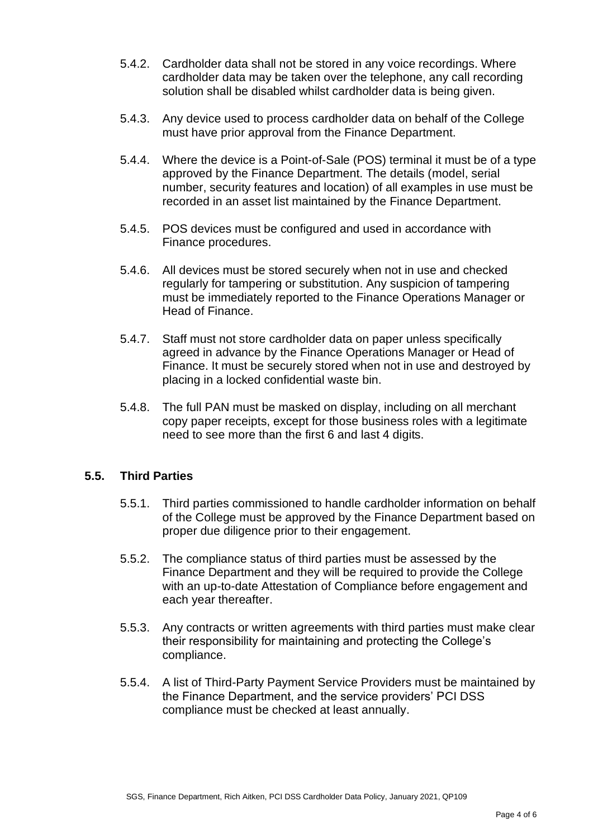- 5.4.2. Cardholder data shall not be stored in any voice recordings. Where cardholder data may be taken over the telephone, any call recording solution shall be disabled whilst cardholder data is being given.
- 5.4.3. Any device used to process cardholder data on behalf of the College must have prior approval from the Finance Department.
- 5.4.4. Where the device is a Point-of-Sale (POS) terminal it must be of a type approved by the Finance Department. The details (model, serial number, security features and location) of all examples in use must be recorded in an asset list maintained by the Finance Department.
- 5.4.5. POS devices must be configured and used in accordance with Finance procedures.
- 5.4.6. All devices must be stored securely when not in use and checked regularly for tampering or substitution. Any suspicion of tampering must be immediately reported to the Finance Operations Manager or Head of Finance.
- 5.4.7. Staff must not store cardholder data on paper unless specifically agreed in advance by the Finance Operations Manager or Head of Finance. It must be securely stored when not in use and destroyed by placing in a locked confidential waste bin.
- 5.4.8. The full PAN must be masked on display, including on all merchant copy paper receipts, except for those business roles with a legitimate need to see more than the first 6 and last 4 digits.

# **5.5. Third Parties**

- 5.5.1. Third parties commissioned to handle cardholder information on behalf of the College must be approved by the Finance Department based on proper due diligence prior to their engagement.
- 5.5.2. The compliance status of third parties must be assessed by the Finance Department and they will be required to provide the College with an up-to-date Attestation of Compliance before engagement and each year thereafter.
- 5.5.3. Any contracts or written agreements with third parties must make clear their responsibility for maintaining and protecting the College's compliance.
- 5.5.4. A list of Third-Party Payment Service Providers must be maintained by the Finance Department, and the service providers' PCI DSS compliance must be checked at least annually.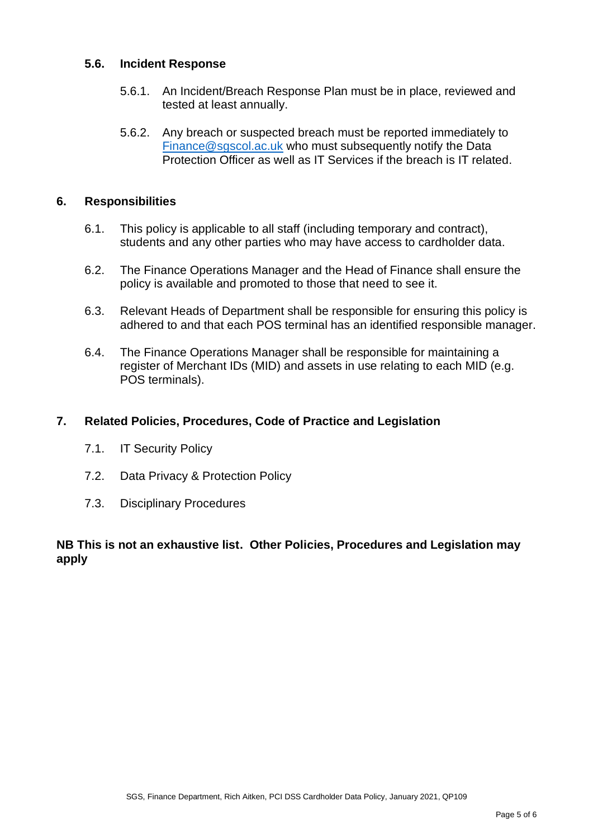## **5.6. Incident Response**

- 5.6.1. An Incident/Breach Response Plan must be in place, reviewed and tested at least annually.
- 5.6.2. Any breach or suspected breach must be reported immediately to [Finance@sgscol.ac.uk](mailto:Finance@sgscol.ac.uk) who must subsequently notify the Data Protection Officer as well as IT Services if the breach is IT related.

### **6. Responsibilities**

- 6.1. This policy is applicable to all staff (including temporary and contract), students and any other parties who may have access to cardholder data.
- 6.2. The Finance Operations Manager and the Head of Finance shall ensure the policy is available and promoted to those that need to see it.
- 6.3. Relevant Heads of Department shall be responsible for ensuring this policy is adhered to and that each POS terminal has an identified responsible manager.
- 6.4. The Finance Operations Manager shall be responsible for maintaining a register of Merchant IDs (MID) and assets in use relating to each MID (e.g. POS terminals).

#### **7. Related Policies, Procedures, Code of Practice and Legislation**

- 7.1. IT Security Policy
- 7.2. Data Privacy & Protection Policy
- 7.3. Disciplinary Procedures

## **NB This is not an exhaustive list. Other Policies, Procedures and Legislation may apply**